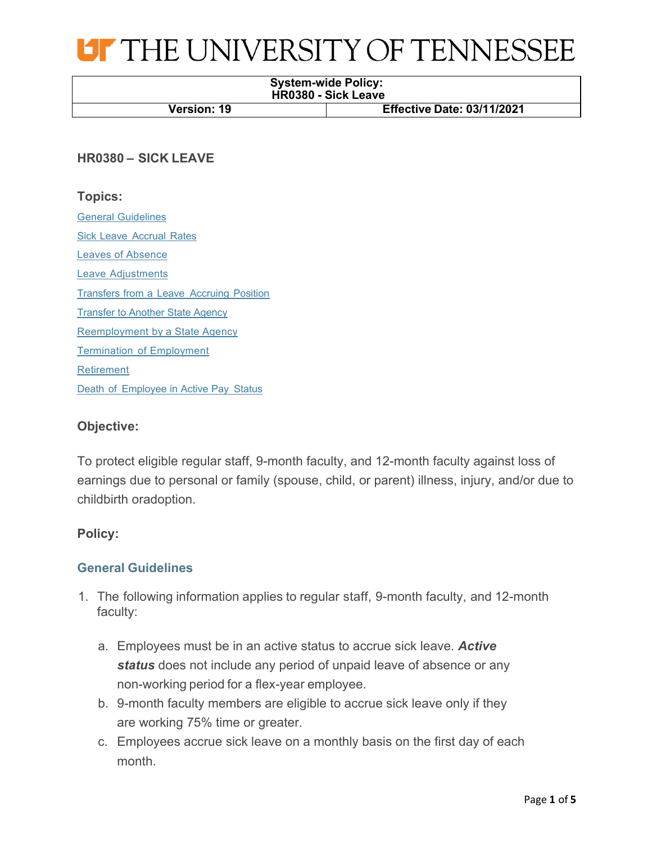

# **System-wide Policy: HR0380 - Sick Leave Version: 19 Effective Date: 03/11/2021**

# **HR0380 – SICK LEAVE**

# **Topics:**

General Guidelines Sick Leave Accrual Rates Leaves of Absence Leave Adjustments Transfers from a Leave Accruing Position Transfer to Another State Agency Reemployment by a State Agency Termination of Employment Retirement Death of Employee in Active Pay Status

# **Objective:**

To protect eligible regular staff, 9-month faculty, and 12-month faculty against loss of earnings due to personal or family (spouse, child, or parent) illness, injury, and/or due to childbirth oradoption.

### **Policy:**

# **General Guidelines**

- 1. The following information applies to regular staff, 9-month faculty, and 12-month faculty:
	- a. Employees must be in an active status to accrue sick leave. *Active status* does not include any period of unpaid leave of absence or any non-working period for a flex-year employee.
	- b. 9-month faculty members are eligible to accrue sick leave only if they are working 75% time or greater.
	- c. Employees accrue sick leave on a monthly basis on the first day of each month.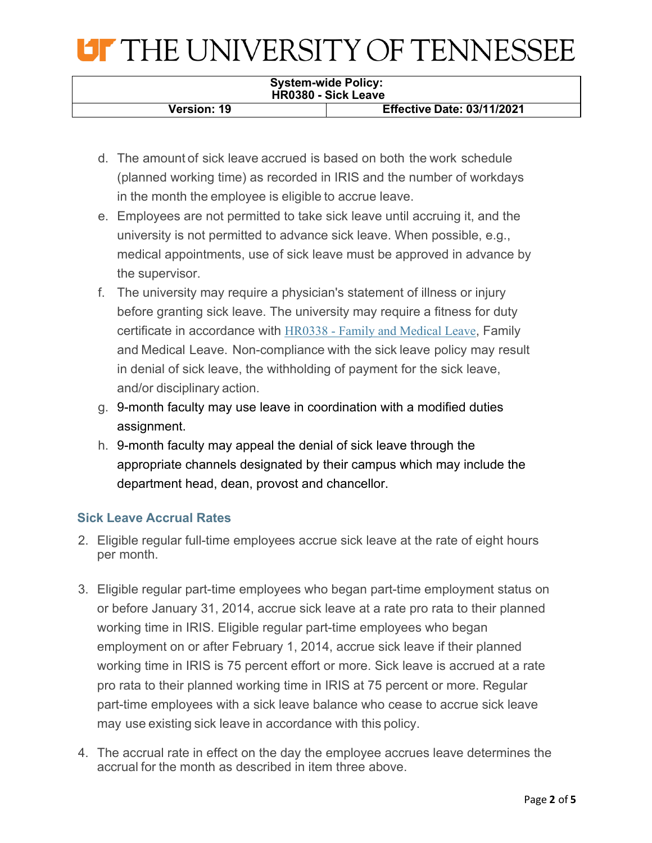# **OF THE UNIVERSITY OF TENNESSEE**

#### **System-wide Policy: HR0380 - Sick Leave**

**Version: 19 Effective Date: 03/11/2021**

- d. The amount of sick leave accrued is based on both the work schedule (planned working time) as recorded in IRIS and the number of workdays in the month the employee is eligible to accrue leave.
- e. Employees are not permitted to take sick leave until accruing it, and the university is not permitted to advance sick leave. When possible, e.g., medical appointments, use of sick leave must be approved in advance by the supervisor.
- f. The university may require a physician's statement of illness or injury before granting sick leave. The university may require a fitness for duty certificate in accordance with HR0338 - Family and Medical Leave, Family and Medical Leave. Non-compliance with the sick leave policy may result in denial of sick leave, the withholding of payment for the sick leave, and/or disciplinary action.
- g. 9-month faculty may use leave in coordination with a modified duties assignment.
- h. 9-month faculty may appeal the denial of sick leave through the appropriate channels designated by their campus which may include the department head, dean, provost and chancellor.

# **Sick Leave Accrual Rates**

- 2. Eligible regular full-time employees accrue sick leave at the rate of eight hours per month.
- 3. Eligible regular part-time employees who began part-time employment status on or before January 31, 2014, accrue sick leave at a rate pro rata to their planned working time in IRIS. Eligible regular part-time employees who began employment on or after February 1, 2014, accrue sick leave if their planned working time in IRIS is 75 percent effort or more. Sick leave is accrued at a rate pro rata to their planned working time in IRIS at 75 percent or more. Regular part-time employees with a sick leave balance who cease to accrue sick leave may use existing sick leave in accordance with this policy.
- 4. The accrual rate in effect on the day the employee accrues leave determines the accrual for the month as described in item three above.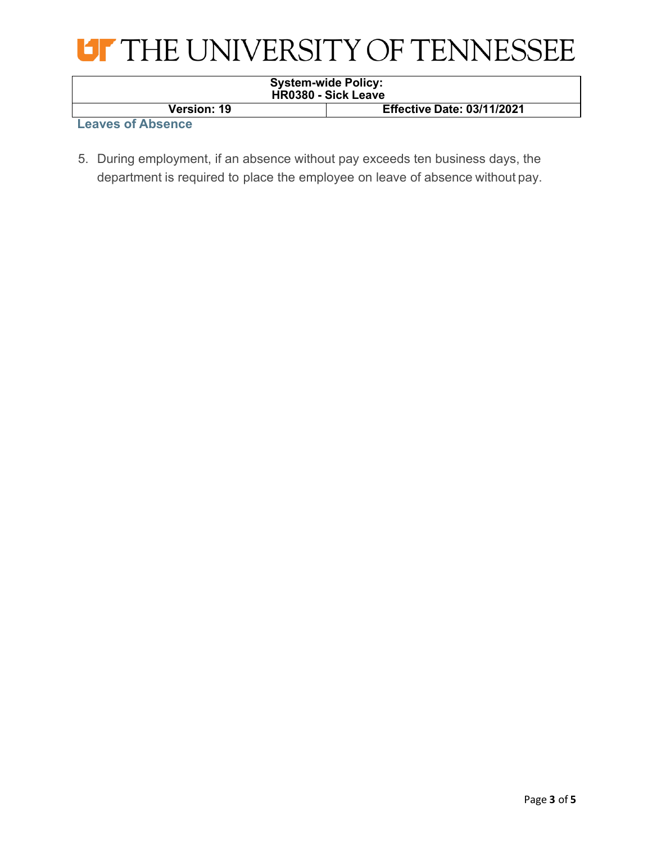

| <b>System-wide Policy:</b><br><b>HR0380 - Sick Leave</b> |                                   |
|----------------------------------------------------------|-----------------------------------|
| <b>Version: 19</b>                                       | <b>Effective Date: 03/11/2021</b> |

**Leaves of Absence**

5. During employment, if an absence without pay exceeds ten business days, the department is required to place the employee on leave of absence without pay.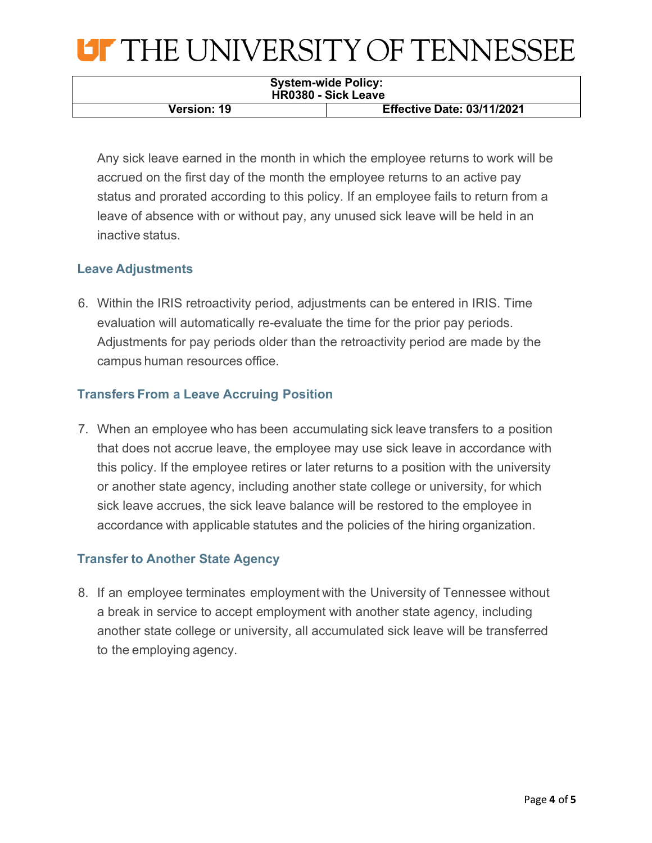# **LIF THE UNIVERSITY OF TENNESSEE**

| <b>System-wide Policy:</b><br><b>HR0380 - Sick Leave</b> |                                   |  |
|----------------------------------------------------------|-----------------------------------|--|
| <b>Version: 19</b>                                       | <b>Effective Date: 03/11/2021</b> |  |

Any sick leave earned in the month in which the employee returns to work will be accrued on the first day of the month the employee returns to an active pay status and prorated according to this policy. If an employee fails to return from a leave of absence with or without pay, any unused sick leave will be held in an inactive status.

# **Leave Adjustments**

6. Within the IRIS retroactivity period, adjustments can be entered in IRIS. Time evaluation will automatically re-evaluate the time for the prior pay periods. Adjustments for pay periods older than the retroactivity period are made by the campus human resources office.

# **Transfers From a Leave Accruing Position**

7. When an employee who has been accumulating sick leave transfers to a position that does not accrue leave, the employee may use sick leave in accordance with this policy. If the employee retires or later returns to a position with the university or another state agency, including another state college or university, for which sick leave accrues, the sick leave balance will be restored to the employee in accordance with applicable statutes and the policies of the hiring organization.

# **Transfer to Another State Agency**

8. If an employee terminates employment with the University of Tennessee without a break in service to accept employment with another state agency, including another state college or university, all accumulated sick leave will be transferred to the employing agency.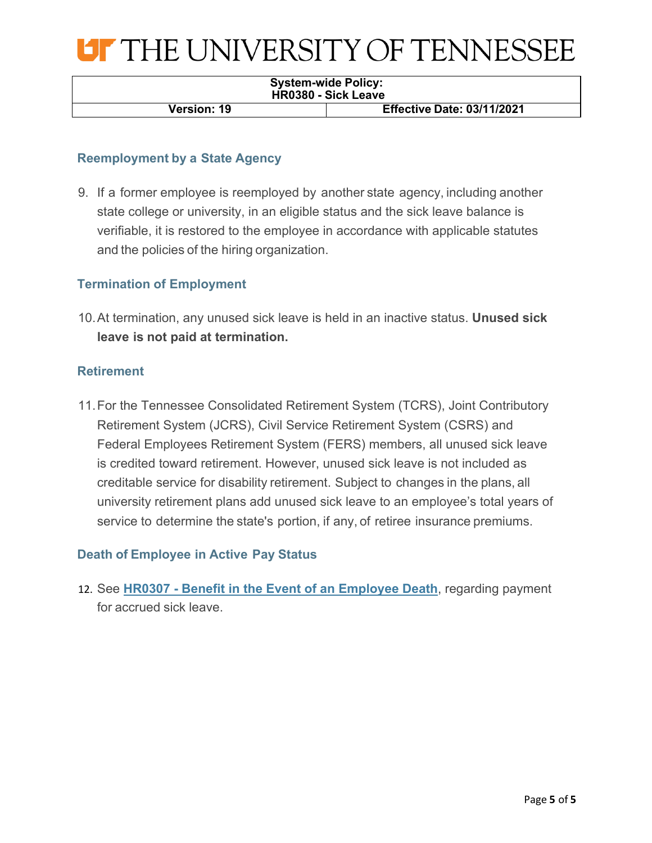

| <b>System-wide Policy:</b><br><b>HR0380 - Sick Leave</b> |                                   |  |
|----------------------------------------------------------|-----------------------------------|--|
| <b>Version: 19</b>                                       | <b>Effective Date: 03/11/2021</b> |  |

# **Reemployment by a State Agency**

9. If a former employee is reemployed by another state agency, including another state college or university, in an eligible status and the sick leave balance is verifiable, it is restored to the employee in accordance with applicable statutes and the policies of the hiring organization.

# **Termination of Employment**

10.At termination, any unused sick leave is held in an inactive status. **Unused sick leave is not paid at termination.**

### **Retirement**

11.For the Tennessee Consolidated Retirement System (TCRS), Joint Contributory Retirement System (JCRS), Civil Service Retirement System (CSRS) and Federal Employees Retirement System (FERS) members, all unused sick leave is credited toward retirement. However, unused sick leave is not included as creditable service for disability retirement. Subject to changes in the plans, all university retirement plans add unused sick leave to an employee's total years of service to determine the state's portion, if any, of retiree insurance premiums.

### **Death of Employee in Active Pay Status**

12. See **HR0307 - Benefit in the Event of an Employee Death**, regarding payment for accrued sick leave.